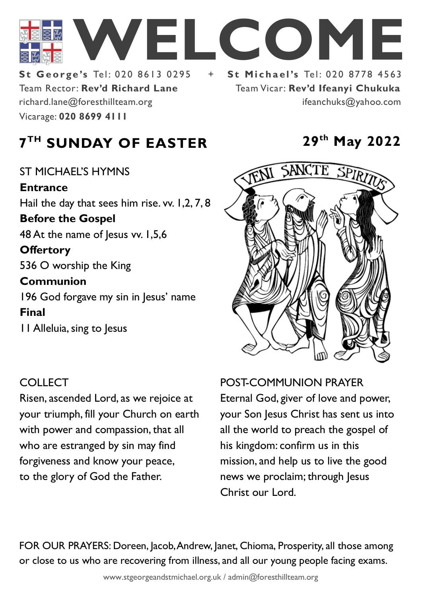

Team Rector: **Rev'd Richard Lane St George's Tel: 020 8613 0295** Vicarage: **020 8699 4111**  richard.lane@foresthillteam.org ifeanchuks@yahoo.com

Team Vicar: **Rev'd Ifeanyi Chukuka**

# **7 TH SUNDAY OF EASTER 29th May 2022**

ST MICHAEL'S HYMNS **Entrance** Hail the day that sees him rise. vv. 1,2, 7, 8 **Before the Gospel**  48 At the name of Jesus vv. 1,5,6 **Offertory**  536 O worship the King **Communion**  196 God forgave my sin in Jesus' name **Final**  11 Alleluia, sing to Jesus

## **COLLECT**

Risen, ascended Lord, as we rejoice at your triumph, fill your Church on earth with power and compassion, that all who are estranged by sin may find forgiveness and know your peace, to the glory of God the Father.



### POST-COMMUNION PRAYER

Eternal God, giver of love and power, your Son Jesus Christ has sent us into all the world to preach the gospel of his kingdom: confirm us in this mission, and help us to live the good news we proclaim; through Jesus Christ our Lord.

FOR OUR PRAYERS: Doreen, Jacob, Andrew, Janet, Chioma, Prosperity, all those among or close to us who are recovering from illness, and all our young people facing exams.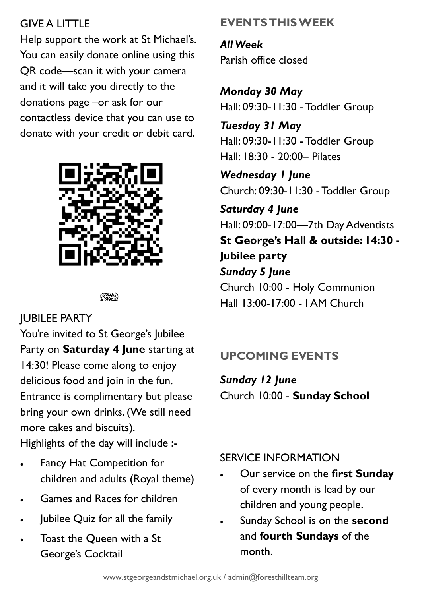## GIVE A LITTLE

Help support the work at St Michael's. You can easily donate online using this QR code—scan it with your camera and it will take you directly to the donations page –or ask for our contactless device that you can use to donate with your credit or debit card.



೧೪೧

# JUBILEE PARTY

You're invited to St George's Jubilee Party on **Saturday 4 June** starting at 14:30! Please come along to enjoy delicious food and join in the fun. Entrance is complimentary but please bring your own drinks. (We still need more cakes and biscuits).

Highlights of the day will include :-

- Fancy Hat Competition for children and adults (Royal theme)
- Games and Races for children
- Jubilee Quiz for all the family
- Toast the Queen with a St George's Cocktail

# **EVENTS THIS WEEK**

*All Week* Parish office closed

*Monday 30 May* Hall: 09:30-11:30 - Toddler Group

*Tuesday 31 May* Hall: 09:30-11:30 - Toddler Group Hall: 18:30 - 20:00– Pilates

*Wednesday 1 June* Church: 09:30-11:30 - Toddler Group

*Saturday 4 June* Hall: 09:00-17:00—7th Day Adventists **St George's Hall & outside: 14:30 - Jubilee party** *Sunday 5 June* Church 10:00 - Holy Communion Hall 13:00-17:00 - I AM Church

# **UPCOMING EVENTS**

*Sunday 12 June* Church 10:00 - **Sunday School**

# SERVICE INFORMATION

- Our service on the **first Sunday** of every month is lead by our children and young people.
- Sunday School is on the **second**  and **fourth Sundays** of the month.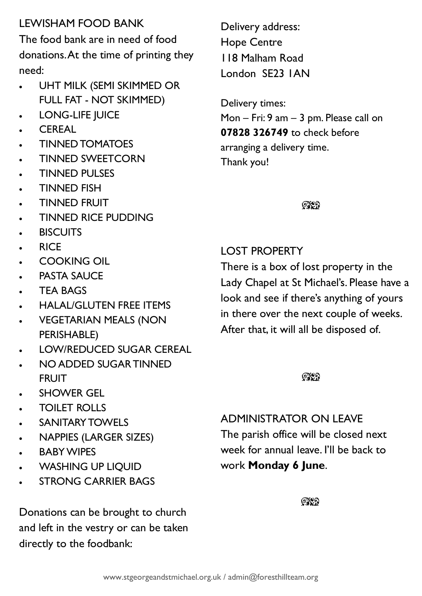# LEWISHAM FOOD BANK

The food bank are in need of food donations. At the time of printing they need:

- UHT MILK (SEMI SKIMMED OR FULL FAT - NOT SKIMMED)
- LONG-LIFE JUICE
- CEREAL
- TINNED TOMATOES
- TINNED SWEETCORN
- TINNED PULSES
- TINNED FISH
- TINNED FRUIT
- TINNED RICE PUDDING
- **BISCUITS**
- RICE
- COOKING OIL
- **PASTA SAUCE**
- **TEA BAGS**
- HALAL/GLUTEN FREE ITEMS
- VEGETARIAN MEALS (NON PERISHABLE)
- LOW/REDUCED SUGAR CEREAL
- NO ADDED SUGAR TINNED FRUIT
- SHOWER GEL
- TOILET ROLLS
- **SANITARY TOWELS**
- NAPPIES (LARGER SIZES)
- **BABY WIPES**
- WASHING UP LIQUID
- **STRONG CARRIER BAGS**

Donations can be brought to church and left in the vestry or can be taken directly to the foodbank:

Delivery address: Hope Centre 118 Malham Road London SE23 1AN

Delivery times: Mon – Fri: 9 am – 3 pm. Please call on **07828 326749** to check before arranging a delivery time. Thank you!

 $\mathbb{C}\mathbb{C}$ 

# LOST PROPERTY

There is a box of lost property in the Lady Chapel at St Michael's. Please have a look and see if there's anything of yours in there over the next couple of weeks. After that, it will all be disposed of.

 $QX$ 

# ADMINISTRATOR ON LEAVE

The parish office will be closed next week for annual leave. I'll be back to work **Monday 6 June**.

೧೪೧